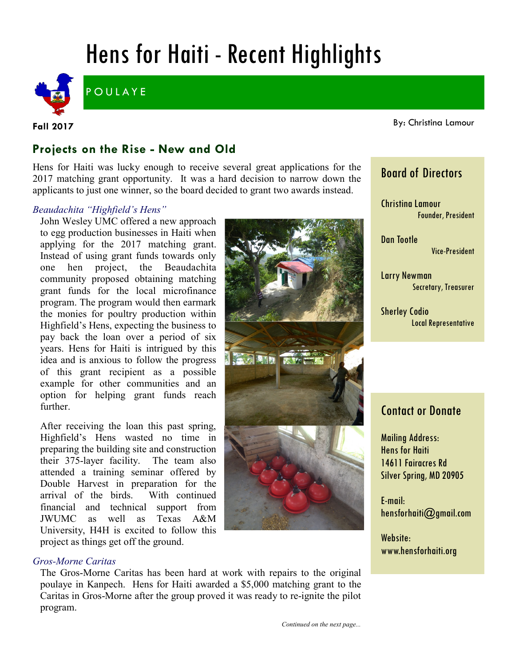# Hens for Haiti - Recent Highlights



**POULAYE** 

**Fall 2017**

By: Christina Lamour

### **Projects on the Rise - New and Old**

Hens for Haiti was lucky enough to receive several great applications for the 2017 matching grant opportunity. It was a hard decision to narrow down the applicants to just one winner, so the board decided to grant two awards instead.

#### *Beaudachita "Highfield's Hens"*

John Wesley UMC offered a new approach to egg production businesses in Haiti when applying for the 2017 matching grant. Instead of using grant funds towards only one hen project, the Beaudachita community proposed obtaining matching grant funds for the local microfinance program. The program would then earmark the monies for poultry production within Highfield's Hens, expecting the business to pay back the loan over a period of six years. Hens for Haiti is intrigued by this idea and is anxious to follow the progress of this grant recipient as a possible example for other communities and an option for helping grant funds reach further.

After receiving the loan this past spring, Highfield's Hens wasted no time in preparing the building site and construction their 375-layer facility. The team also attended a training seminar offered by Double Harvest in preparation for the arrival of the birds. With continued financial and technical support from JWUMC as well as Texas A&M University, H4H is excited to follow this project as things get off the ground.



The Gros-Morne Caritas has been hard at work with repairs to the original poulaye in Kanpech. Hens for Haiti awarded a \$5,000 matching grant to the Caritas in Gros-Morne after the group proved it was ready to re-ignite the pilot program.

**CARL CARL** 

## Board of Directors

Christina Lamour Founder, President

Dan Tootle Vice-President

Larry Newman Secretary, Treasurer

Sherley Codio Local Representative

### Contact or Donate

Mailing Address: Hens for Haiti 14611 Fairacres Rd Silver Spring, MD 20905

E-mail: hensforhaiti@gmail.com

Website: www.hensforhaiti.org